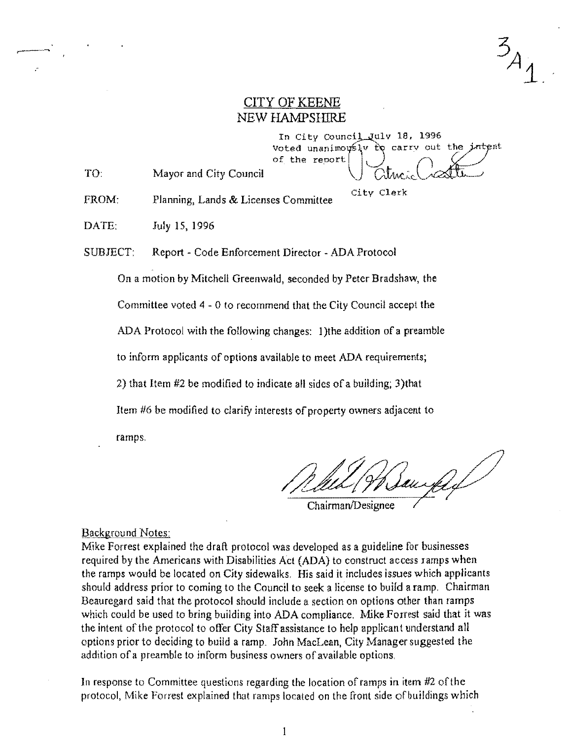$34$ 

## CITY OF KEENE NEW HAMPSHIRE

In City Council July 18, 1996  $V$ oted unanimovsly to carry out the intent **of** the **reoort** 

TO Mayor and City Council

FROM: Planning, Lands & Licenses Committee City Clerk

DATE: July 15, 1996

SUBJECT: Report - Code Enforcement Director - ADA Protocol

On a motion by Mitchell Greenwald, seconded by Peter Bradshaw, the

Committee voted 4 - 0 to recommend that the City Council accept the

ADA Protocol with the following changes: 1) the addition of a preamble

to inform applicants of options available to meet ADA requirements;

2) that Item  $#2$  be modified to indicate all sides of a building; 3) that

Item #6 be modified to clarify interests of property owners adjacent to

ramps.

aux

Chairman/Designee

## Background Notes:

Mike Forrest explained the draft protocol was developed as a guideline for businesses required by the Americans with Disabilities Act (ADA) to construct access ramps when the ramps would be located on City sidewalks. His said it includes issues which applicants should address prior to coming to the Council to seek a license to build a ramp. Chairman Beauregard said that the protocol should include a section on options other than ramps which could be used to bring building into ADA compliance. Mike Forrest said that it was the intent of the protocol to offer City Staff assistance to help applicant understand all options prior to deciding to build a ramp. John MacLean, City Manager suggested the addition of a preamble to inform business owners of available options.

In response to Committee questions regarding the location of ramps in item  $#2$  of the protocol, Mike Forrest explained that ramps located on the front side of buildings which

 $\mathbf{1}$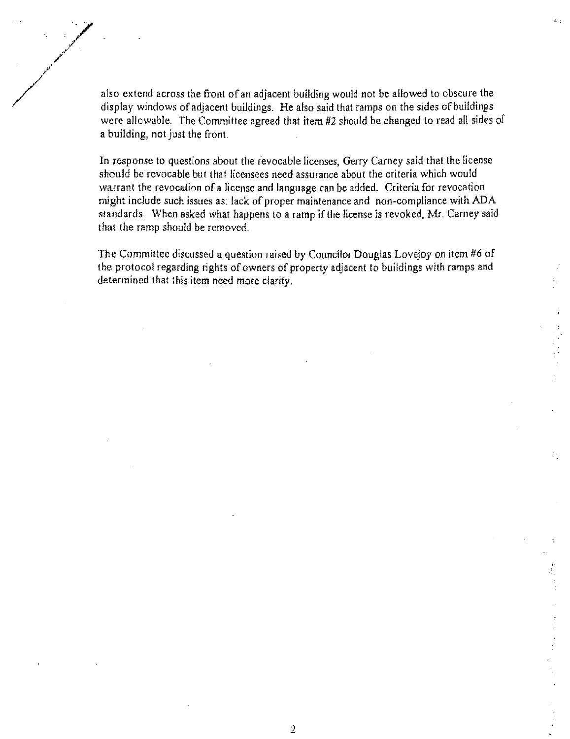also extend across the front of an adjacent building would not be allowed to obscure the display windows of adjacent buildings. He also said that ramps on the sides of buildings were allowable. The Committee agreed that item #2 should be changed to read all sides of a building, not just the front.

 $\mathcal{A}_{\mathcal{A}}$ 

In response to questions about the revocable licenses, Gerry Carney said that the license should be revocable but that licensees need assurance about the criteria which would warrant the revocation of a license and language can be added. Criteria for revocation might include such issues as; lack of proper maintenance and non-compliance with ADA standards. When asked what happens to a ramp if the license is revoked, Mr. Carney said that the ramp should be removed.

The Committee discussed a question raised by Councilor Douglas Lovejoy on item #6 of the protocol regarding rights of owners of property adjacent to buildings with ramps and determined that this item need more clarity.

2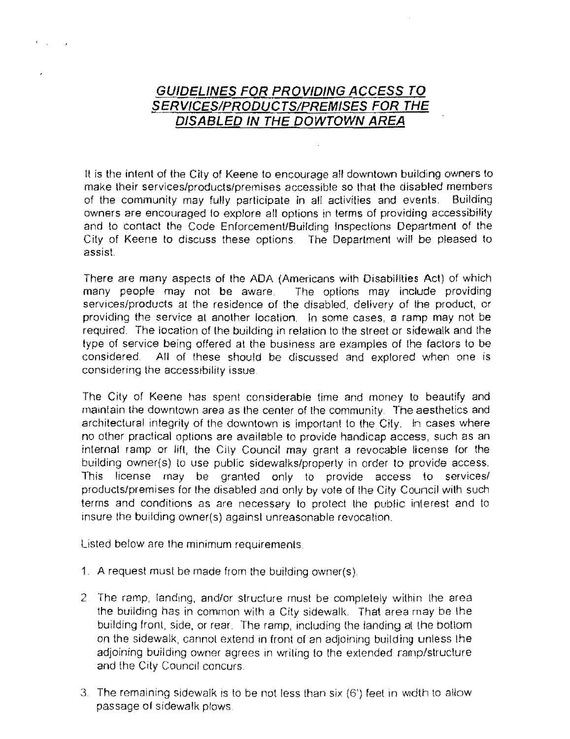## **GUIDELINES FOR PROVIDING ACCESS TO SERVICES/PRODUCTS/PREMISES FOR THE DISABLED IN THE DOWTOWN AREA**

It is the intent of the City of Keene to encourage all downtown building owners to make their services/products/premises accessible so that the disabled members of the community may fully participate in all activities and events. Building owners are encouraged to explore all options in terms of providing accessibility and to contact the Code Enforcement/Building Inspections Department of the City of Keene to discuss these options. The Department will be pleased to assis!.

There are many aspects of the ADA (Americans with Disabilities Act) of which many people may not be aware. The options may include providing services/products at the residence of the disabled, delivery of the product, or providing the service at another location. In some cases, a ramp may not be required. The location of the building in relation to the street or sidewalk and the type of service being offered at the business are examples of the factors to be considered. All of these should be discussed and explored when one is considering the accessibility issue

The City of Keene has spent considerable time and money to beautify and maintain the downtown area as the center of the community The aesthetics and architectural integrity of the downtown is important to the City. In cases where no other practical options are available to provide handicap access, such as an internat ramp or lift, the City Council may grant a revocable license for the building owner(s) to use public sidewalks/property in order to provide access. This license may be granted only to provide access to services/ products/premises for the disabled and only by vote of the City Council with such terms and conditions as are necessary to protect the public interest and to insure the building owner(s) against unreasonable revocation.

Listed below are the minimum requirements

- 1. A request must be made from the building owner(s)
- 2. The ramp, landing, and/or structure must be completely within the area the building has in common with a City sidewalk. That area may be the building front, side, or rear. The ramp, including the landing at lhe bollom on the sidewalk, cannot extend in front of an adjoining building unless the adjoining building owner agrees in writing to the extended ramp/structure and the City Council concurs
- 3. The remaining sidewalk is to be not less than six (6') feet in width to allow passage of sidewalk plows